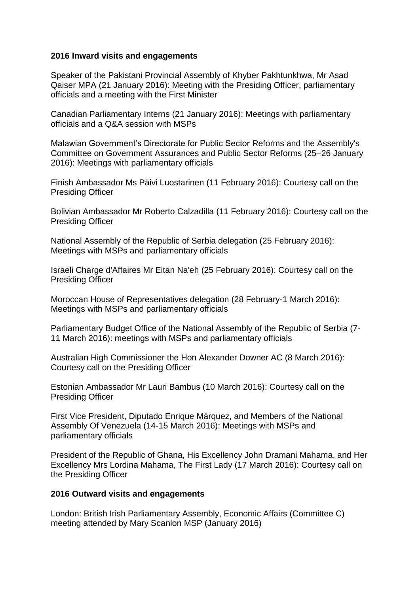## **2016 Inward visits and engagements**

Speaker of the Pakistani Provincial Assembly of Khyber Pakhtunkhwa, Mr Asad Qaiser MPA (21 January 2016): Meeting with the Presiding Officer, parliamentary officials and a meeting with the First Minister

Canadian Parliamentary Interns (21 January 2016): Meetings with parliamentary officials and a Q&A session with MSPs

Malawian Government's Directorate for Public Sector Reforms and the Assembly's Committee on Government Assurances and Public Sector Reforms (25–26 January 2016): Meetings with parliamentary officials

Finish Ambassador Ms Päivi Luostarinen (11 February 2016): Courtesy call on the Presiding Officer

Bolivian Ambassador Mr Roberto Calzadilla (11 February 2016): Courtesy call on the Presiding Officer

National Assembly of the Republic of Serbia delegation (25 February 2016): Meetings with MSPs and parliamentary officials

Israeli Charge d'Affaires Mr Eitan Na'eh (25 February 2016): Courtesy call on the Presiding Officer

Moroccan House of Representatives delegation (28 February-1 March 2016): Meetings with MSPs and parliamentary officials

Parliamentary Budget Office of the National Assembly of the Republic of Serbia (7- 11 March 2016): meetings with MSPs and parliamentary officials

Australian High Commissioner the Hon Alexander Downer AC (8 March 2016): Courtesy call on the Presiding Officer

Estonian Ambassador Mr Lauri Bambus (10 March 2016): Courtesy call on the Presiding Officer

First Vice President, Diputado Enrique Márquez, and Members of the National Assembly Of Venezuela (14-15 March 2016): Meetings with MSPs and parliamentary officials

President of the Republic of Ghana, His Excellency John Dramani Mahama, and Her Excellency Mrs Lordina Mahama, The First Lady (17 March 2016): Courtesy call on the Presiding Officer

## **2016 Outward visits and engagements**

London: British Irish Parliamentary Assembly, Economic Affairs (Committee C) meeting attended by Mary Scanlon MSP (January 2016)